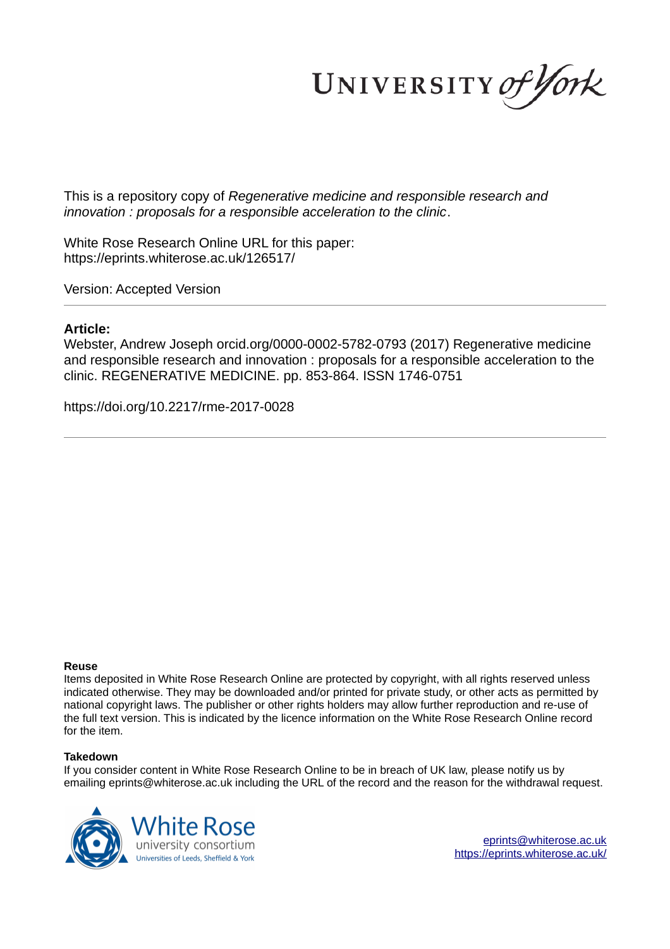UNIVERSITY of York

This is a repository copy of *Regenerative medicine and responsible research and innovation : proposals for a responsible acceleration to the clinic*.

White Rose Research Online URL for this paper: https://eprints.whiterose.ac.uk/126517/

Version: Accepted Version

# **Article:**

Webster, Andrew Joseph orcid.org/0000-0002-5782-0793 (2017) Regenerative medicine and responsible research and innovation : proposals for a responsible acceleration to the clinic. REGENERATIVE MEDICINE. pp. 853-864. ISSN 1746-0751

https://doi.org/10.2217/rme-2017-0028

# **Reuse**

Items deposited in White Rose Research Online are protected by copyright, with all rights reserved unless indicated otherwise. They may be downloaded and/or printed for private study, or other acts as permitted by national copyright laws. The publisher or other rights holders may allow further reproduction and re-use of the full text version. This is indicated by the licence information on the White Rose Research Online record for the item.

# **Takedown**

If you consider content in White Rose Research Online to be in breach of UK law, please notify us by emailing eprints@whiterose.ac.uk including the URL of the record and the reason for the withdrawal request.



eprints@whiterose.ac.uk https://eprints.whiterose.ac.uk/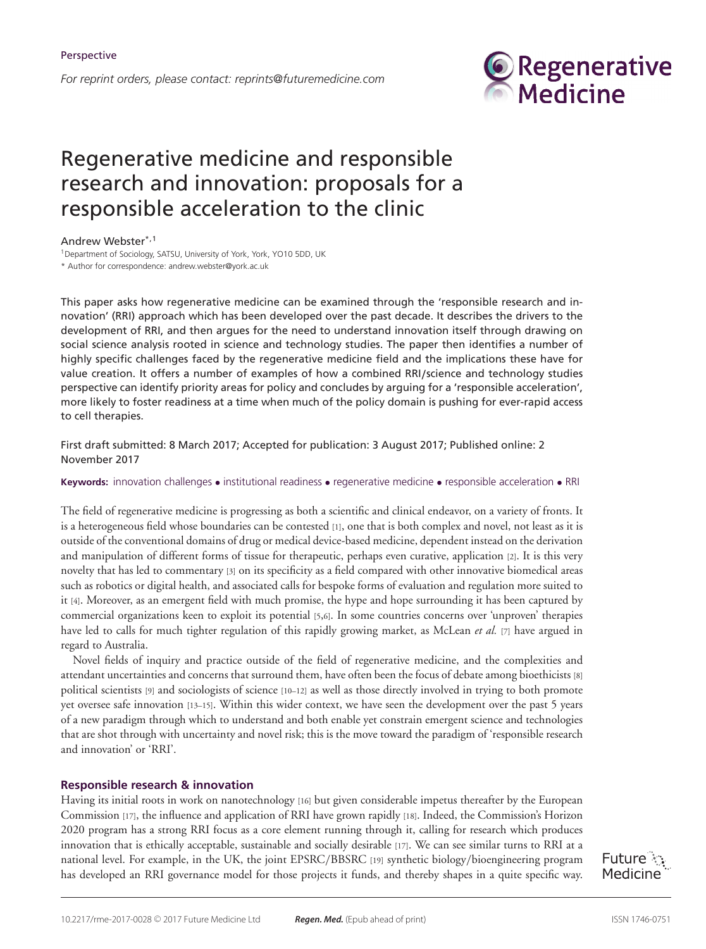*For reprint orders, please contact: reprints@futuremedicine.com*



# Regenerative medicine and responsible research and innovation: proposals for a responsible acceleration to the clinic

# Andrew Webster\*,1

<sup>1</sup>Department of Sociology, SATSU, University of York, York, YO10 5DD, UK

\* Author for correspondence: andrew.webster@york.ac.uk

This paper asks how regenerative medicine can be examined through the 'responsible research and innovation' (RRI) approach which has been developed over the past decade. It describes the drivers to the development of RRI, and then argues for the need to understand innovation itself through drawing on social science analysis rooted in science and technology studies. The paper then identifies a number of highly specific challenges faced by the regenerative medicine field and the implications these have for value creation. It offers a number of examples of how a combined RRI/science and technology studies perspective can identify priority areas for policy and concludes by arguing for a 'responsible acceleration', more likely to foster readiness at a time when much of the policy domain is pushing for ever-rapid access to cell therapies.

First draft submitted: 8 March 2017; Accepted for publication: 3 August 2017; Published online: 2 November 2017

**Keywords:** innovation challenges • institutional readiness • regenerative medicine • responsible acceleration • RRI

The field of regenerative medicine is progressing as both a scientific and clinical endeavor, on a variety of fronts. It is a heterogeneous field whose boundaries can be contested [1], one that is both complex and novel, not least as it is outside of the conventional domains of drug or medical device-based medicine, dependent instead on the derivation and manipulation of different forms of tissue for therapeutic, perhaps even curative, application [2]. It is this very novelty that has led to commentary [3] on its specificity as a field compared with other innovative biomedical areas such as robotics or digital health, and associated calls for bespoke forms of evaluation and regulation more suited to it [4]. Moreover, as an emergent field with much promise, the hype and hope surrounding it has been captured by commercial organizations keen to exploit its potential [5,6]. In some countries concerns over 'unproven' therapies have led to calls for much tighter regulation of this rapidly growing market, as McLean *et al.* [7] have argued in regard to Australia.

Novel fields of inquiry and practice outside of the field of regenerative medicine, and the complexities and attendant uncertainties and concerns that surround them, have often been the focus of debate among bioethicists [8] political scientists [9] and sociologists of science [10–12] as well as those directly involved in trying to both promote yet oversee safe innovation [13–15]. Within this wider context, we have seen the development over the past 5 years of a new paradigm through which to understand and both enable yet constrain emergent science and technologies that are shot through with uncertainty and novel risk; this is the move toward the paradigm of 'responsible research and innovation' or 'RRI'.

# **Responsible research & innovation**

Having its initial roots in work on nanotechnology [16] but given considerable impetus thereafter by the European Commission [17], the influence and application of RRI have grown rapidly [18]. Indeed, the Commission's Horizon 2020 program has a strong RRI focus as a core element running through it, calling for research which produces innovation that is ethically acceptable, sustainable and socially desirable [17]. We can see similar turns to RRI at a national level. For example, in the UK, the joint EPSRC/BBSRC [19] synthetic biology/bioengineering program has developed an RRI governance model for those projects it funds, and thereby shapes in a quite specific way.

Future : Medicine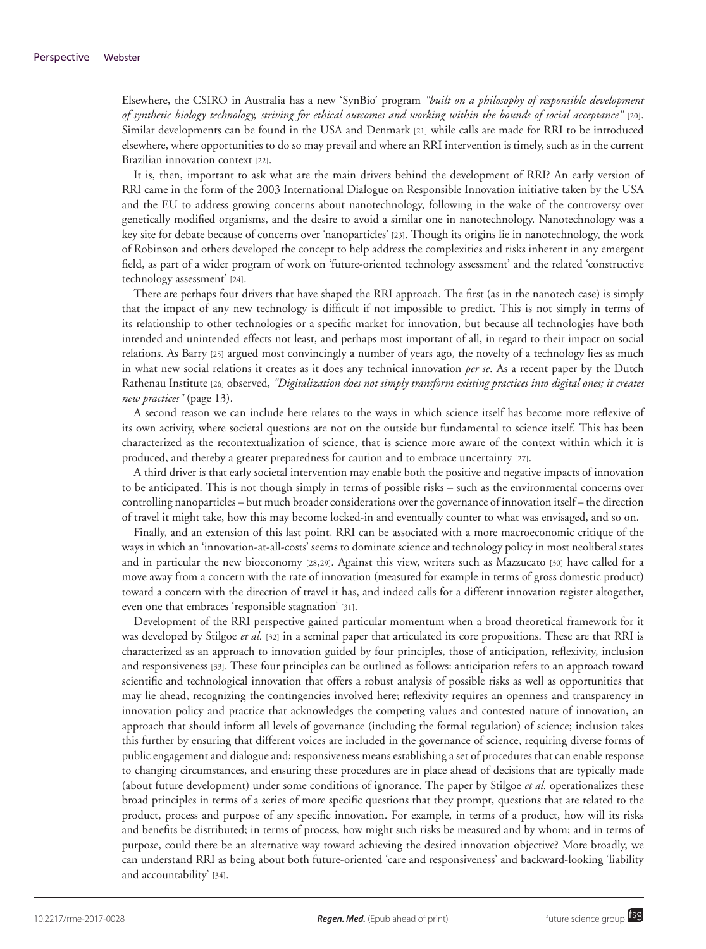Elsewhere, the CSIRO in Australia has a new 'SynBio' program *"built on a philosophy of responsible development of synthetic biology technology, striving for ethical outcomes and working within the bounds of social acceptance"* [20]. Similar developments can be found in the USA and Denmark [21] while calls are made for RRI to be introduced elsewhere, where opportunities to do so may prevail and where an RRI intervention is timely, such as in the current Brazilian innovation context [22].

It is, then, important to ask what are the main drivers behind the development of RRI? An early version of RRI came in the form of the 2003 International Dialogue on Responsible Innovation initiative taken by the USA and the EU to address growing concerns about nanotechnology, following in the wake of the controversy over genetically modified organisms, and the desire to avoid a similar one in nanotechnology. Nanotechnology was a key site for debate because of concerns over 'nanoparticles' [23]. Though its origins lie in nanotechnology, the work of Robinson and others developed the concept to help address the complexities and risks inherent in any emergent field, as part of a wider program of work on 'future-oriented technology assessment' and the related 'constructive technology assessment' [24].

There are perhaps four drivers that have shaped the RRI approach. The first (as in the nanotech case) is simply that the impact of any new technology is difficult if not impossible to predict. This is not simply in terms of its relationship to other technologies or a specific market for innovation, but because all technologies have both intended and unintended effects not least, and perhaps most important of all, in regard to their impact on social relations. As Barry [25] argued most convincingly a number of years ago, the novelty of a technology lies as much in what new social relations it creates as it does any technical innovation *per se*. As a recent paper by the Dutch Rathenau Institute [26] observed, *"Digitalization does not simply transform existing practices into digital ones; it creates new practices"* (page 13).

A second reason we can include here relates to the ways in which science itself has become more reflexive of its own activity, where societal questions are not on the outside but fundamental to science itself. This has been characterized as the recontextualization of science, that is science more aware of the context within which it is produced, and thereby a greater preparedness for caution and to embrace uncertainty [27].

A third driver is that early societal intervention may enable both the positive and negative impacts of innovation to be anticipated. This is not though simply in terms of possible risks – such as the environmental concerns over controlling nanoparticles – but much broader considerations over the governance of innovation itself – the direction of travel it might take, how this may become locked-in and eventually counter to what was envisaged, and so on.

Finally, and an extension of this last point, RRI can be associated with a more macroeconomic critique of the ways in which an 'innovation-at-all-costs' seems to dominate science and technology policy in most neoliberal states and in particular the new bioeconomy [28,29]. Against this view, writers such as Mazzucato [30] have called for a move away from a concern with the rate of innovation (measured for example in terms of gross domestic product) toward a concern with the direction of travel it has, and indeed calls for a different innovation register altogether, even one that embraces 'responsible stagnation' [31].

Development of the RRI perspective gained particular momentum when a broad theoretical framework for it was developed by Stilgoe *et al.* [32] in a seminal paper that articulated its core propositions. These are that RRI is characterized as an approach to innovation guided by four principles, those of anticipation, reflexivity, inclusion and responsiveness [33]. These four principles can be outlined as follows: anticipation refers to an approach toward scientific and technological innovation that offers a robust analysis of possible risks as well as opportunities that may lie ahead, recognizing the contingencies involved here; reflexivity requires an openness and transparency in innovation policy and practice that acknowledges the competing values and contested nature of innovation, an approach that should inform all levels of governance (including the formal regulation) of science; inclusion takes this further by ensuring that different voices are included in the governance of science, requiring diverse forms of public engagement and dialogue and; responsiveness means establishing a set of procedures that can enable response to changing circumstances, and ensuring these procedures are in place ahead of decisions that are typically made (about future development) under some conditions of ignorance. The paper by Stilgoe *et al.* operationalizes these broad principles in terms of a series of more specific questions that they prompt, questions that are related to the product, process and purpose of any specific innovation. For example, in terms of a product, how will its risks and benefits be distributed; in terms of process, how might such risks be measured and by whom; and in terms of purpose, could there be an alternative way toward achieving the desired innovation objective? More broadly, we can understand RRI as being about both future-oriented 'care and responsiveness' and backward-looking 'liability and accountability' [34].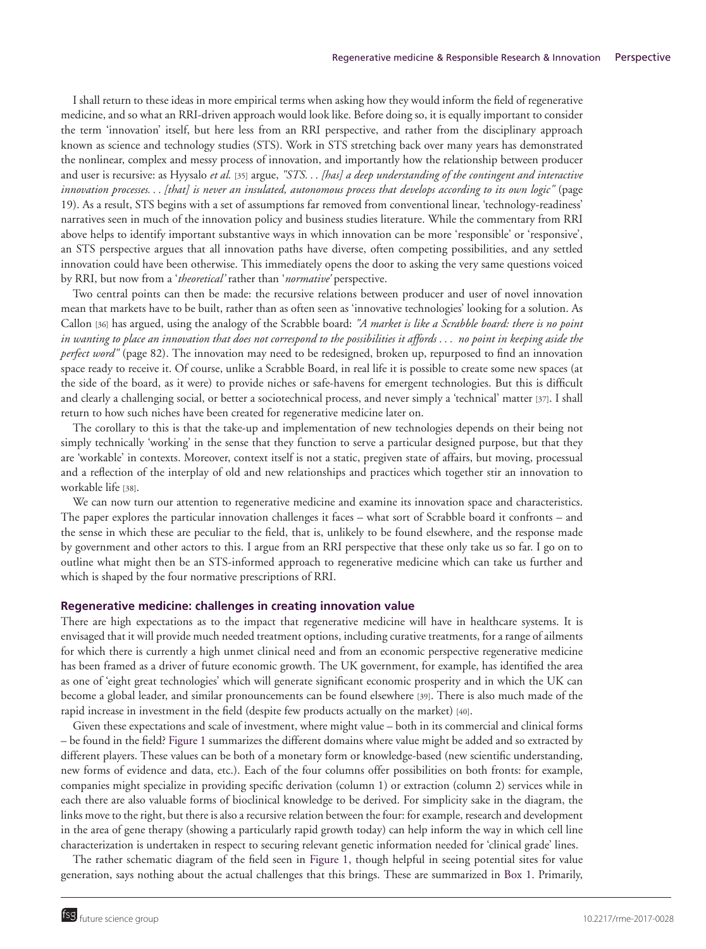I shall return to these ideas in more empirical terms when asking how they would inform the field of regenerative medicine, and so what an RRI-driven approach would look like. Before doing so, it is equally important to consider the term 'innovation' itself, but here less from an RRI perspective, and rather from the disciplinary approach known as science and technology studies (STS). Work in STS stretching back over many years has demonstrated the nonlinear, complex and messy process of innovation, and importantly how the relationship between producer and user is recursive: as Hyysalo *et al.* [35] argue, *"STS. . . [has] a deep understanding of the contingent and interactive innovation processes. . . [that] is never an insulated, autonomous process that develops according to its own logic"* (page 19). As a result, STS begins with a set of assumptions far removed from conventional linear, 'technology-readiness' narratives seen in much of the innovation policy and business studies literature. While the commentary from RRI above helps to identify important substantive ways in which innovation can be more 'responsible' or 'responsive', an STS perspective argues that all innovation paths have diverse, often competing possibilities, and any settled innovation could have been otherwise. This immediately opens the door to asking the very same questions voiced by RRI, but now from a '*theoretical'* rather than '*normative'* perspective.

Two central points can then be made: the recursive relations between producer and user of novel innovation mean that markets have to be built, rather than as often seen as 'innovative technologies' looking for a solution. As Callon [36] has argued, using the analogy of the Scrabble board: *"A market is like a Scrabble board: there is no point in wanting to place an innovation that does not correspond to the possibilities it affords . . . no point in keeping aside the perfect word"* (page 82). The innovation may need to be redesigned, broken up, repurposed to find an innovation space ready to receive it. Of course, unlike a Scrabble Board, in real life it is possible to create some new spaces (at the side of the board, as it were) to provide niches or safe-havens for emergent technologies. But this is difficult and clearly a challenging social, or better a sociotechnical process, and never simply a 'technical' matter [37]. I shall return to how such niches have been created for regenerative medicine later on.

The corollary to this is that the take-up and implementation of new technologies depends on their being not simply technically 'working' in the sense that they function to serve a particular designed purpose, but that they are 'workable' in contexts. Moreover, context itself is not a static, pregiven state of affairs, but moving, processual and a reflection of the interplay of old and new relationships and practices which together stir an innovation to workable life [38].

We can now turn our attention to regenerative medicine and examine its innovation space and characteristics. The paper explores the particular innovation challenges it faces – what sort of Scrabble board it confronts – and the sense in which these are peculiar to the field, that is, unlikely to be found elsewhere, and the response made by government and other actors to this. I argue from an RRI perspective that these only take us so far. I go on to outline what might then be an STS-informed approach to regenerative medicine which can take us further and which is shaped by the four normative prescriptions of RRI.

## **Regenerative medicine: challenges in creating innovation value**

There are high expectations as to the impact that regenerative medicine will have in healthcare systems. It is envisaged that it will provide much needed treatment options, including curative treatments, for a range of ailments for which there is currently a high unmet clinical need and from an economic perspective regenerative medicine has been framed as a driver of future economic growth. The UK government, for example, has identified the area as one of 'eight great technologies' which will generate significant economic prosperity and in which the UK can become a global leader, and similar pronouncements can be found elsewhere [39]. There is also much made of the rapid increase in investment in the field (despite few products actually on the market) [40].

Given these expectations and scale of investment, where might value – both in its commercial and clinical forms – be found in the field? Figure 1 summarizes the different domains where value might be added and so extracted by different players. These values can be both of a monetary form or knowledge-based (new scientific understanding, new forms of evidence and data, etc.). Each of the four columns offer possibilities on both fronts: for example, companies might specialize in providing specific derivation (column 1) or extraction (column 2) services while in each there are also valuable forms of bioclinical knowledge to be derived. For simplicity sake in the diagram, the links move to the right, but there is also a recursive relation between the four: for example, research and development in the area of gene therapy (showing a particularly rapid growth today) can help inform the way in which cell line characterization is undertaken in respect to securing relevant genetic information needed for 'clinical grade' lines.

The rather schematic diagram of the field seen in Figure 1, though helpful in seeing potential sites for value generation, says nothing about the actual challenges that this brings. These are summarized in Box 1. Primarily,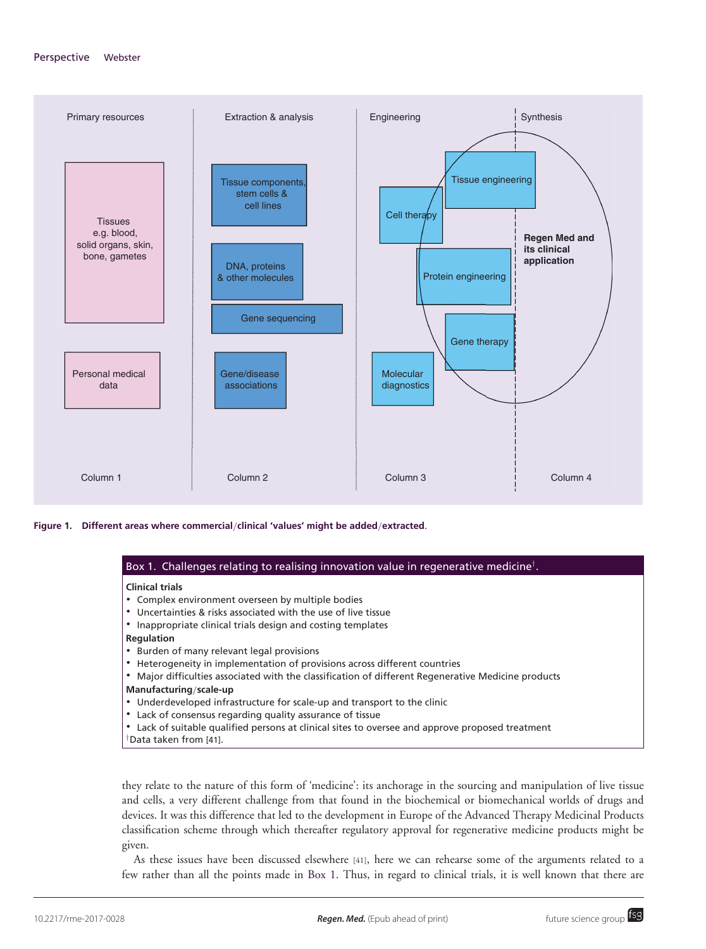## Perspective Webster



**Figure 1. Different areas where commercial**/**clinical 'values' might be added**/**extracted**.

# Box 1. Challenges relating to realising innovation value in regenerative medicine† .

## **Clinical trials**

- **Complex environment overseen by multiple bodies**
- Uncertainties & risks associated with the use of live tissue
- Inappropriate clinical trials design and costing templates
- **Regulation**
- Burden of many relevant legal provisions
- **Heterogeneity in implementation of provisions across different countries**
- **Major difficulties associated with the classification of different Regenerative Medicine products**

### **Manufacturing**/**scale-up**

- Underdeveloped infrastructure for scale-up and transport to the clinic
- -Lack of consensus regarding quality assurance of tissue
- -Lack of suitable qualified persons at clinical sites to oversee and approve proposed treatment †Data taken from [41].

they relate to the nature of this form of 'medicine': its anchorage in the sourcing and manipulation of live tissue and cells, a very different challenge from that found in the biochemical or biomechanical worlds of drugs and devices. It was this difference that led to the development in Europe of the Advanced Therapy Medicinal Products classification scheme through which thereafter regulatory approval for regenerative medicine products might be given.

As these issues have been discussed elsewhere [41], here we can rehearse some of the arguments related to a few rather than all the points made in Box 1. Thus, in regard to clinical trials, it is well known that there are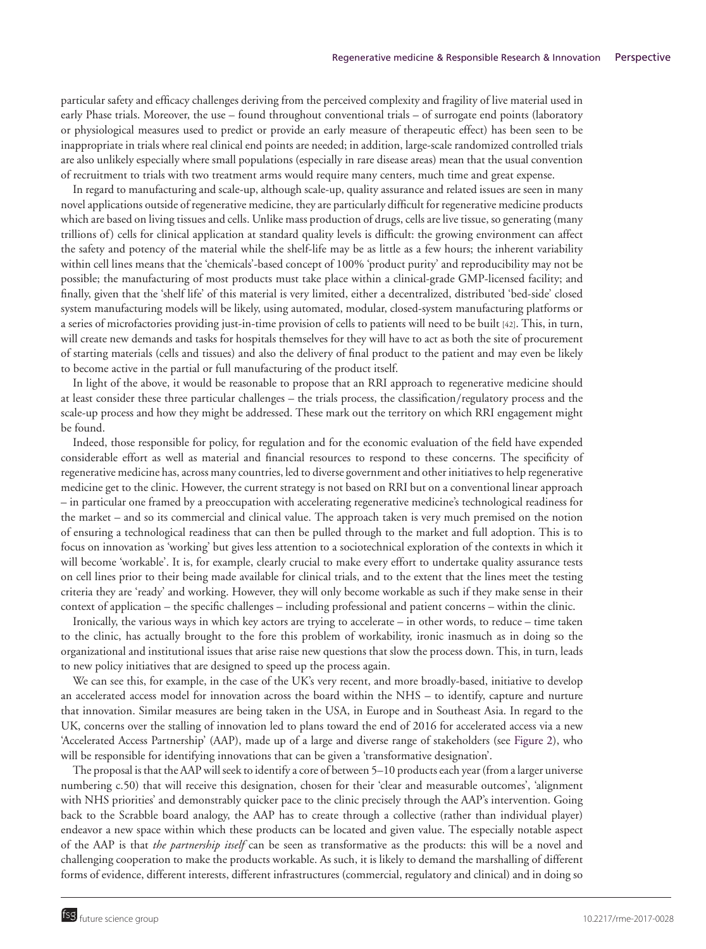particular safety and efficacy challenges deriving from the perceived complexity and fragility of live material used in early Phase trials. Moreover, the use – found throughout conventional trials – of surrogate end points (laboratory or physiological measures used to predict or provide an early measure of therapeutic effect) has been seen to be inappropriate in trials where real clinical end points are needed; in addition, large-scale randomized controlled trials are also unlikely especially where small populations (especially in rare disease areas) mean that the usual convention of recruitment to trials with two treatment arms would require many centers, much time and great expense.

In regard to manufacturing and scale-up, although scale-up, quality assurance and related issues are seen in many novel applications outside of regenerative medicine, they are particularly difficult for regenerative medicine products which are based on living tissues and cells. Unlike mass production of drugs, cells are live tissue, so generating (many trillions of) cells for clinical application at standard quality levels is difficult: the growing environment can affect the safety and potency of the material while the shelf-life may be as little as a few hours; the inherent variability within cell lines means that the 'chemicals'-based concept of 100% 'product purity' and reproducibility may not be possible; the manufacturing of most products must take place within a clinical-grade GMP-licensed facility; and finally, given that the 'shelf life' of this material is very limited, either a decentralized, distributed 'bed-side' closed system manufacturing models will be likely, using automated, modular, closed-system manufacturing platforms or a series of microfactories providing just-in-time provision of cells to patients will need to be built [42]. This, in turn, will create new demands and tasks for hospitals themselves for they will have to act as both the site of procurement of starting materials (cells and tissues) and also the delivery of final product to the patient and may even be likely to become active in the partial or full manufacturing of the product itself.

In light of the above, it would be reasonable to propose that an RRI approach to regenerative medicine should at least consider these three particular challenges – the trials process, the classification/regulatory process and the scale-up process and how they might be addressed. These mark out the territory on which RRI engagement might be found.

Indeed, those responsible for policy, for regulation and for the economic evaluation of the field have expended considerable effort as well as material and financial resources to respond to these concerns. The specificity of regenerative medicine has, across many countries, led to diverse government and other initiatives to help regenerative medicine get to the clinic. However, the current strategy is not based on RRI but on a conventional linear approach – in particular one framed by a preoccupation with accelerating regenerative medicine's technological readiness for the market – and so its commercial and clinical value. The approach taken is very much premised on the notion of ensuring a technological readiness that can then be pulled through to the market and full adoption. This is to focus on innovation as 'working' but gives less attention to a sociotechnical exploration of the contexts in which it will become 'workable'. It is, for example, clearly crucial to make every effort to undertake quality assurance tests on cell lines prior to their being made available for clinical trials, and to the extent that the lines meet the testing criteria they are 'ready' and working. However, they will only become workable as such if they make sense in their context of application – the specific challenges – including professional and patient concerns – within the clinic.

Ironically, the various ways in which key actors are trying to accelerate – in other words, to reduce – time taken to the clinic, has actually brought to the fore this problem of workability, ironic inasmuch as in doing so the organizational and institutional issues that arise raise new questions that slow the process down. This, in turn, leads to new policy initiatives that are designed to speed up the process again.

We can see this, for example, in the case of the UK's very recent, and more broadly-based, initiative to develop an accelerated access model for innovation across the board within the NHS – to identify, capture and nurture that innovation. Similar measures are being taken in the USA, in Europe and in Southeast Asia. In regard to the UK, concerns over the stalling of innovation led to plans toward the end of 2016 for accelerated access via a new 'Accelerated Access Partnership' (AAP), made up of a large and diverse range of stakeholders (see Figure 2), who will be responsible for identifying innovations that can be given a 'transformative designation'.

The proposal is that the AAP will seek to identify a core of between 5–10 products each year (from a larger universe numbering c.50) that will receive this designation, chosen for their 'clear and measurable outcomes', 'alignment with NHS priorities' and demonstrably quicker pace to the clinic precisely through the AAP's intervention. Going back to the Scrabble board analogy, the AAP has to create through a collective (rather than individual player) endeavor a new space within which these products can be located and given value. The especially notable aspect of the AAP is that *the partnership itself* can be seen as transformative as the products: this will be a novel and challenging cooperation to make the products workable. As such, it is likely to demand the marshalling of different forms of evidence, different interests, different infrastructures (commercial, regulatory and clinical) and in doing so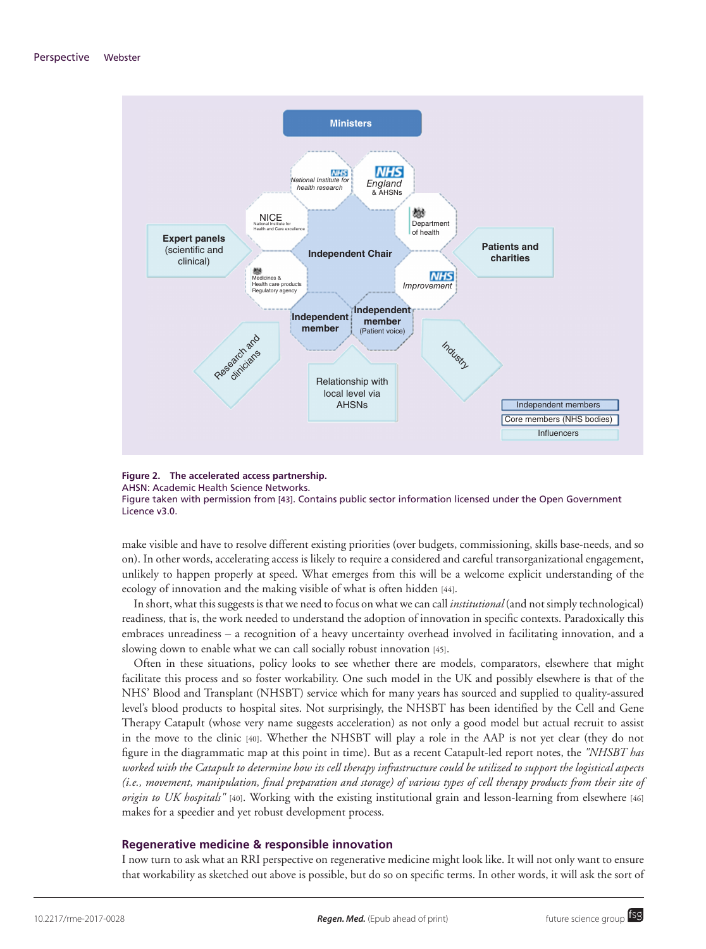

#### **Figure 2. The accelerated access partnership.** AHSN: Academic Health Science Networks. Figure taken with permission from [43]. Contains public sector information licensed under the Open Government Licence v3.0.

make visible and have to resolve different existing priorities (over budgets, commissioning, skills base-needs, and so on). In other words, accelerating access is likely to require a considered and careful transorganizational engagement, unlikely to happen properly at speed. What emerges from this will be a welcome explicit understanding of the ecology of innovation and the making visible of what is often hidden [44].

In short, what this suggests is that we need to focus on what we can call *institutional* (and not simply technological) readiness, that is, the work needed to understand the adoption of innovation in specific contexts. Paradoxically this embraces unreadiness – a recognition of a heavy uncertainty overhead involved in facilitating innovation, and a slowing down to enable what we can call socially robust innovation [45].

Often in these situations, policy looks to see whether there are models, comparators, elsewhere that might facilitate this process and so foster workability. One such model in the UK and possibly elsewhere is that of the NHS' Blood and Transplant (NHSBT) service which for many years has sourced and supplied to quality-assured level's blood products to hospital sites. Not surprisingly, the NHSBT has been identified by the Cell and Gene Therapy Catapult (whose very name suggests acceleration) as not only a good model but actual recruit to assist in the move to the clinic [40]. Whether the NHSBT will play a role in the AAP is not yet clear (they do not figure in the diagrammatic map at this point in time). But as a recent Catapult-led report notes, the *"NHSBT has worked with the Catapult to determine how its cell therapy infrastructure could be utilized to support the logistical aspects (i.e., movement, manipulation, final preparation and storage) of various types of cell therapy products from their site of origin to UK hospitals"* [40]. Working with the existing institutional grain and lesson-learning from elsewhere [46] makes for a speedier and yet robust development process.

# **Regenerative medicine & responsible innovation**

I now turn to ask what an RRI perspective on regenerative medicine might look like. It will not only want to ensure that workability as sketched out above is possible, but do so on specific terms. In other words, it will ask the sort of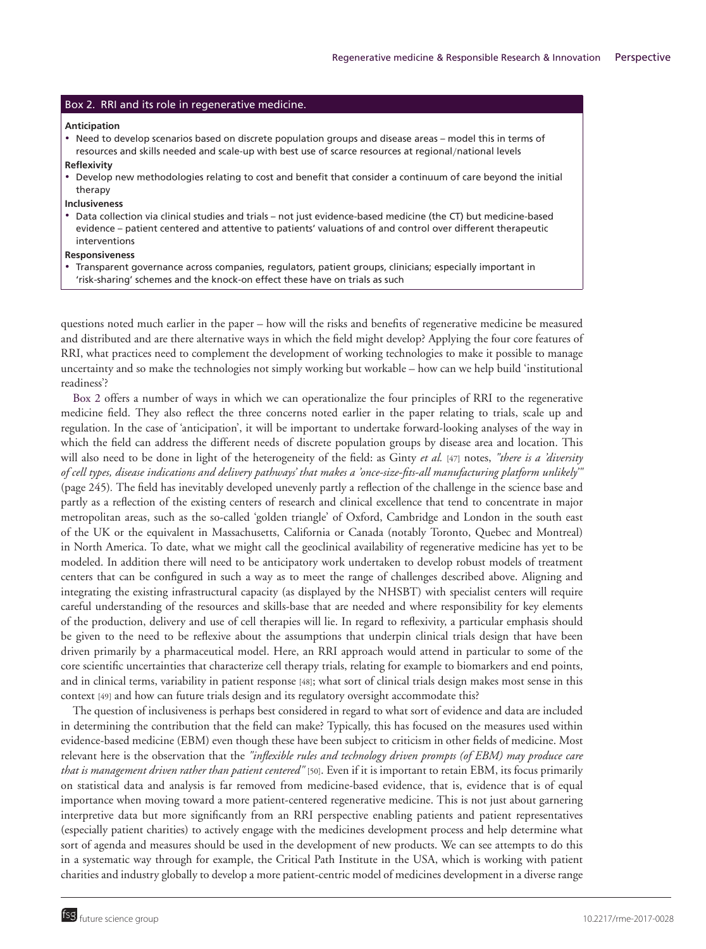# Box 2. RRI and its role in regenerative medicine. **Anticipation** - Need to develop scenarios based on discrete population groups and disease areas – model this in terms of resources and skills needed and scale-up with best use of scarce resources at regional/national levels **Reflexivity** - Develop new methodologies relating to cost and benefit that consider a continuum of care beyond the initial therapy **Inclusiveness** - Data collection via clinical studies and trials – not just evidence-based medicine (the CT) but medicine-based evidence – patient centered and attentive to patients' valuations of and control over different therapeutic interventions **Responsiveness** -Transparent governance across companies, regulators, patient groups, clinicians; especially important in 'risk-sharing' schemes and the knock-on effect these have on trials as such

questions noted much earlier in the paper – how will the risks and benefits of regenerative medicine be measured and distributed and are there alternative ways in which the field might develop? Applying the four core features of RRI, what practices need to complement the development of working technologies to make it possible to manage uncertainty and so make the technologies not simply working but workable – how can we help build 'institutional readiness'?

Box 2 offers a number of ways in which we can operationalize the four principles of RRI to the regenerative medicine field. They also reflect the three concerns noted earlier in the paper relating to trials, scale up and regulation. In the case of 'anticipation', it will be important to undertake forward-looking analyses of the way in which the field can address the different needs of discrete population groups by disease area and location. This will also need to be done in light of the heterogeneity of the field: as Ginty *et al.* [47] notes, *"there is a 'diversity of cell types, disease indications and delivery pathways' that makes a 'once-size-fits-all manufacturing platform unlikely'"* (page 245)*.* The field has inevitably developed unevenly partly a reflection of the challenge in the science base and partly as a reflection of the existing centers of research and clinical excellence that tend to concentrate in major metropolitan areas, such as the so-called 'golden triangle' of Oxford, Cambridge and London in the south east of the UK or the equivalent in Massachusetts, California or Canada (notably Toronto, Quebec and Montreal) in North America. To date, what we might call the geoclinical availability of regenerative medicine has yet to be modeled. In addition there will need to be anticipatory work undertaken to develop robust models of treatment centers that can be configured in such a way as to meet the range of challenges described above. Aligning and integrating the existing infrastructural capacity (as displayed by the NHSBT) with specialist centers will require careful understanding of the resources and skills-base that are needed and where responsibility for key elements of the production, delivery and use of cell therapies will lie. In regard to reflexivity, a particular emphasis should be given to the need to be reflexive about the assumptions that underpin clinical trials design that have been driven primarily by a pharmaceutical model. Here, an RRI approach would attend in particular to some of the core scientific uncertainties that characterize cell therapy trials, relating for example to biomarkers and end points, and in clinical terms, variability in patient response [48]; what sort of clinical trials design makes most sense in this context [49] and how can future trials design and its regulatory oversight accommodate this?

The question of inclusiveness is perhaps best considered in regard to what sort of evidence and data are included in determining the contribution that the field can make? Typically, this has focused on the measures used within evidence-based medicine (EBM) even though these have been subject to criticism in other fields of medicine. Most relevant here is the observation that the *"inflexible rules and technology driven prompts (of EBM) may produce care that is management driven rather than patient centered"* [50]. Even if it is important to retain EBM, its focus primarily on statistical data and analysis is far removed from medicine-based evidence, that is, evidence that is of equal importance when moving toward a more patient-centered regenerative medicine. This is not just about garnering interpretive data but more significantly from an RRI perspective enabling patients and patient representatives (especially patient charities) to actively engage with the medicines development process and help determine what sort of agenda and measures should be used in the development of new products. We can see attempts to do this in a systematic way through for example, the Critical Path Institute in the USA, which is working with patient charities and industry globally to develop a more patient-centric model of medicines development in a diverse range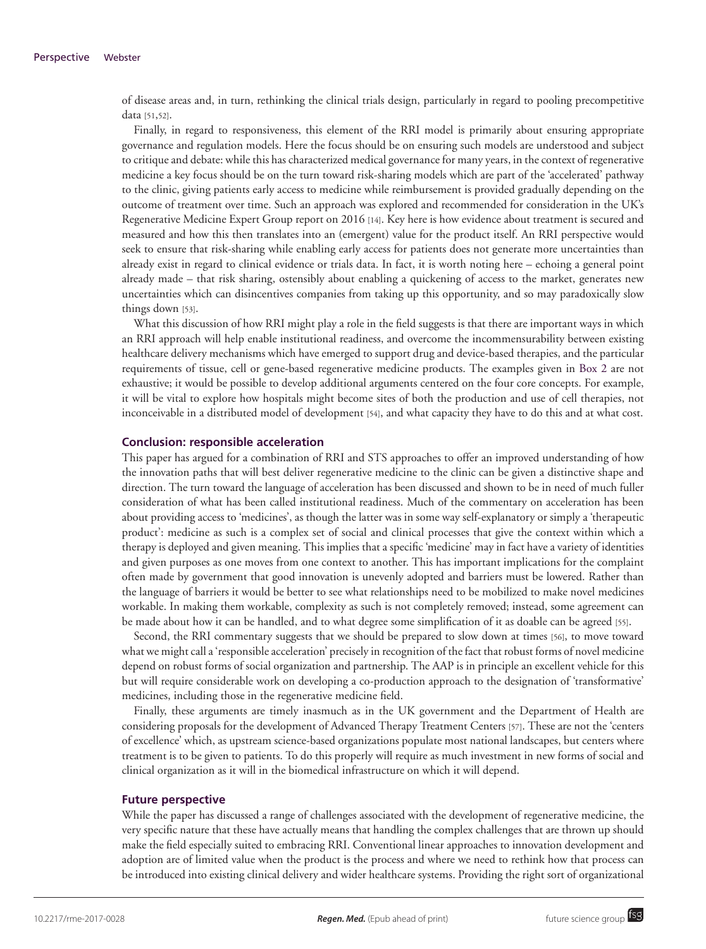of disease areas and, in turn, rethinking the clinical trials design, particularly in regard to pooling precompetitive data [51,52].

Finally, in regard to responsiveness, this element of the RRI model is primarily about ensuring appropriate governance and regulation models. Here the focus should be on ensuring such models are understood and subject to critique and debate: while this has characterized medical governance for many years, in the context of regenerative medicine a key focus should be on the turn toward risk-sharing models which are part of the 'accelerated' pathway to the clinic, giving patients early access to medicine while reimbursement is provided gradually depending on the outcome of treatment over time. Such an approach was explored and recommended for consideration in the UK's Regenerative Medicine Expert Group report on 2016 [14]. Key here is how evidence about treatment is secured and measured and how this then translates into an (emergent) value for the product itself. An RRI perspective would seek to ensure that risk-sharing while enabling early access for patients does not generate more uncertainties than already exist in regard to clinical evidence or trials data. In fact, it is worth noting here – echoing a general point already made – that risk sharing, ostensibly about enabling a quickening of access to the market, generates new uncertainties which can disincentives companies from taking up this opportunity, and so may paradoxically slow things down [53].

What this discussion of how RRI might play a role in the field suggests is that there are important ways in which an RRI approach will help enable institutional readiness, and overcome the incommensurability between existing healthcare delivery mechanisms which have emerged to support drug and device-based therapies, and the particular requirements of tissue, cell or gene-based regenerative medicine products. The examples given in Box 2 are not exhaustive; it would be possible to develop additional arguments centered on the four core concepts. For example, it will be vital to explore how hospitals might become sites of both the production and use of cell therapies, not inconceivable in a distributed model of development [54], and what capacity they have to do this and at what cost.

# **Conclusion: responsible acceleration**

This paper has argued for a combination of RRI and STS approaches to offer an improved understanding of how the innovation paths that will best deliver regenerative medicine to the clinic can be given a distinctive shape and direction. The turn toward the language of acceleration has been discussed and shown to be in need of much fuller consideration of what has been called institutional readiness. Much of the commentary on acceleration has been about providing access to 'medicines', as though the latter was in some way self-explanatory or simply a 'therapeutic product': medicine as such is a complex set of social and clinical processes that give the context within which a therapy is deployed and given meaning. This implies that a specific 'medicine' may in fact have a variety of identities and given purposes as one moves from one context to another. This has important implications for the complaint often made by government that good innovation is unevenly adopted and barriers must be lowered. Rather than the language of barriers it would be better to see what relationships need to be mobilized to make novel medicines workable. In making them workable, complexity as such is not completely removed; instead, some agreement can be made about how it can be handled, and to what degree some simplification of it as doable can be agreed [55].

Second, the RRI commentary suggests that we should be prepared to slow down at times [56], to move toward what we might call a 'responsible acceleration' precisely in recognition of the fact that robust forms of novel medicine depend on robust forms of social organization and partnership. The AAP is in principle an excellent vehicle for this but will require considerable work on developing a co-production approach to the designation of 'transformative' medicines, including those in the regenerative medicine field.

Finally, these arguments are timely inasmuch as in the UK government and the Department of Health are considering proposals for the development of Advanced Therapy Treatment Centers [57]. These are not the 'centers of excellence' which, as upstream science-based organizations populate most national landscapes, but centers where treatment is to be given to patients. To do this properly will require as much investment in new forms of social and clinical organization as it will in the biomedical infrastructure on which it will depend.

# **Future perspective**

While the paper has discussed a range of challenges associated with the development of regenerative medicine, the very specific nature that these have actually means that handling the complex challenges that are thrown up should make the field especially suited to embracing RRI. Conventional linear approaches to innovation development and adoption are of limited value when the product is the process and where we need to rethink how that process can be introduced into existing clinical delivery and wider healthcare systems. Providing the right sort of organizational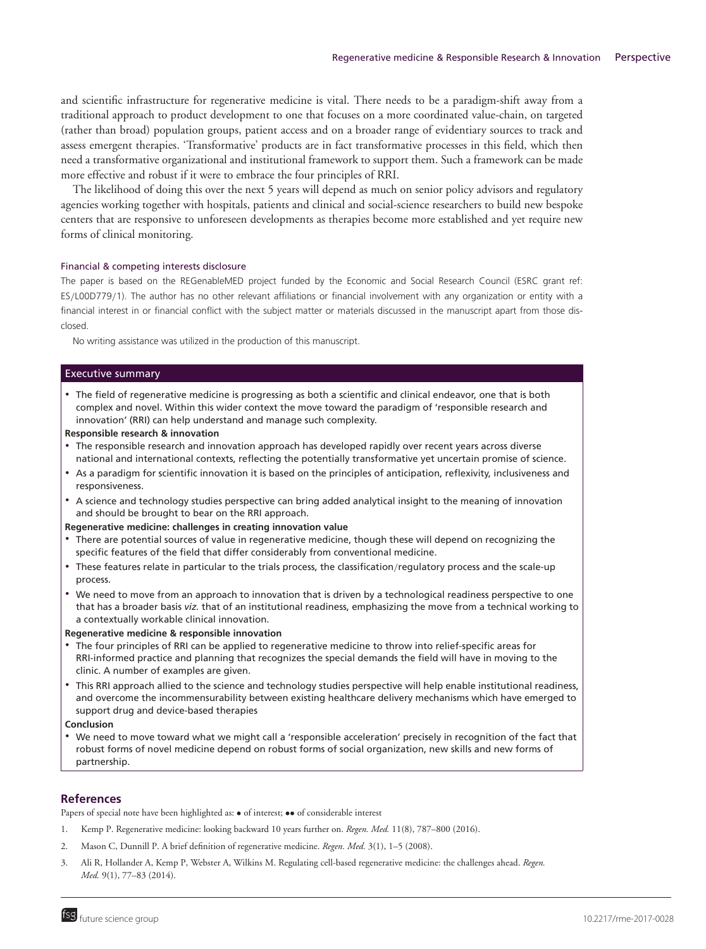and scientific infrastructure for regenerative medicine is vital. There needs to be a paradigm-shift away from a traditional approach to product development to one that focuses on a more coordinated value-chain, on targeted (rather than broad) population groups, patient access and on a broader range of evidentiary sources to track and assess emergent therapies. 'Transformative' products are in fact transformative processes in this field, which then need a transformative organizational and institutional framework to support them. Such a framework can be made more effective and robust if it were to embrace the four principles of RRI.

The likelihood of doing this over the next 5 years will depend as much on senior policy advisors and regulatory agencies working together with hospitals, patients and clinical and social-science researchers to build new bespoke centers that are responsive to unforeseen developments as therapies become more established and yet require new forms of clinical monitoring.

#### Financial & competing interests disclosure

The paper is based on the REGenableMED project funded by the Economic and Social Research Council (ESRC grant ref: ES/L00D779/1). The author has no other relevant affiliations or financial involvement with any organization or entity with a financial interest in or financial conflict with the subject matter or materials discussed in the manuscript apart from those disclosed.

No writing assistance was utilized in the production of this manuscript.

#### Executive summary

- The field of regenerative medicine is progressing as both a scientific and clinical endeavor, one that is both complex and novel. Within this wider context the move toward the paradigm of 'responsible research and innovation' (RRI) can help understand and manage such complexity.

#### **Responsible research & innovation**

- -The responsible research and innovation approach has developed rapidly over recent years across diverse national and international contexts, reflecting the potentially transformative yet uncertain promise of science.
- As a paradigm for scientific innovation it is based on the principles of anticipation, reflexivity, inclusiveness and responsiveness.
- A science and technology studies perspective can bring added analytical insight to the meaning of innovation and should be brought to bear on the RRI approach.
- **Regenerative medicine: challenges in creating innovation value**
- There are potential sources of value in regenerative medicine, though these will depend on recognizing the specific features of the field that differ considerably from conventional medicine.
- These features relate in particular to the trials process, the classification/regulatory process and the scale-up process.
- **We need to move from an approach to innovation that is driven by a technological readiness perspective to one** that has a broader basis *viz.* that of an institutional readiness, emphasizing the move from a technical working to a contextually workable clinical innovation.

**Regenerative medicine & responsible innovation**

- -The four principles of RRI can be applied to regenerative medicine to throw into relief-specific areas for RRI-informed practice and planning that recognizes the special demands the field will have in moving to the clinic. A number of examples are given.
- This RRI approach allied to the science and technology studies perspective will help enable institutional readiness, and overcome the incommensurability between existing healthcare delivery mechanisms which have emerged to support drug and device-based therapies

## **Conclusion**

- We need to move toward what we might call a 'responsible acceleration' precisely in recognition of the fact that robust forms of novel medicine depend on robust forms of social organization, new skills and new forms of partnership.

## **References**

Papers of special note have been highlighted as:  $\bullet$  of interest;  $\bullet\bullet$  of considerable interest

- 1. Kemp P. Regenerative medicine: looking backward 10 years further on. *Regen. Med.* 11(8), 787–800 (2016).
- 2. Mason C, Dunnill P. A brief definition of regenerative medicine. *Regen. Med.* 3(1), 1–5 (2008).
- 3. Ali R, Hollander A, Kemp P, Webster A, Wilkins M. Regulating cell-based regenerative medicine: the challenges ahead. *Regen. Med.* 9(1), 77–83 (2014).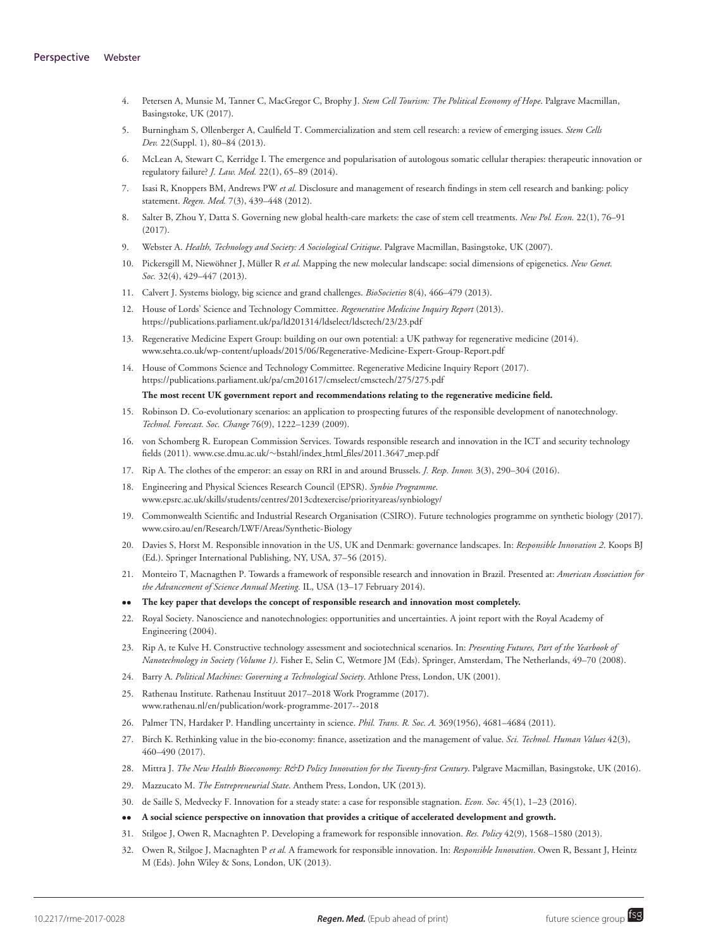- 4. Petersen A, Munsie M, Tanner C, MacGregor C, Brophy J. *Stem Cell Tourism: The Political Economy of Hope*. Palgrave Macmillan, Basingstoke, UK (2017).
- 5. Burningham S, Ollenberger A, Caulfield T. Commercialization and stem cell research: a review of emerging issues. *Stem Cells Dev.* 22(Suppl. 1), 80–84 (2013).
- 6. McLean A, Stewart C, Kerridge I. The emergence and popularisation of autologous somatic cellular therapies: therapeutic innovation or regulatory failure? *J. Law. Med.* 22(1), 65–89 (2014).
- 7. Isasi R, Knoppers BM, Andrews PW *et al.* Disclosure and management of research findings in stem cell research and banking: policy statement. *Regen. Med.* 7(3), 439–448 (2012).
- 8. Salter B, Zhou Y, Datta S. Governing new global health-care markets: the case of stem cell treatments. *New Pol. Econ.* 22(1), 76–91 (2017).
- 9. Webster A. *Health, Technology and Society: A Sociological Critique*. Palgrave Macmillan, Basingstoke, UK (2007).
- 10. Pickersgill M, Niewöhner J, Müller R et al. Mapping the new molecular landscape: social dimensions of epigenetics. *New Genet. Soc.* 32(4), 429–447 (2013).
- 11. Calvert J. Systems biology, big science and grand challenges. *BioSocieties* 8(4), 466–479 (2013).
- 12. House of Lords' Science and Technology Committee. *Regenerative Medicine Inquiry Report* (2013). https://publications.parliament.uk/pa/ld201314/ldselect/ldsctech/23/23.pdf
- 13. Regenerative Medicine Expert Group: building on our own potential: a UK pathway for regenerative medicine (2014). www.sehta.co.uk/wp-content/uploads/2015/06/Regenerative-Medicine-Expert-Group-Report.pdf
- 14. House of Commons Science and Technology Committee. Regenerative Medicine Inquiry Report (2017). https://publications.parliament.uk/pa/cm201617/cmselect/cmsctech/275/275.pdf **The most recent UK government report and recommendations relating to the regenerative medicine field.**
- 15. Robinson D. Co-evolutionary scenarios: an application to prospecting futures of the responsible development of nanotechnology. *Technol. Forecast. Soc. Change* 76(9), 1222–1239 (2009).
- 16. von Schomberg R. European Commission Services. Towards responsible research and innovation in the ICT and security technology fields (2011). www.cse.dmu.ac.uk/∼bstahl/index html files/2011.3647 mep.pdf
- 17. Rip A. The clothes of the emperor: an essay on RRI in and around Brussels. *J. Resp. Innov.* 3(3), 290–304 (2016).
- 18. Engineering and Physical Sciences Research Council (EPSR). *Synbio Programme*. www.epsrc.ac.uk/skills/students/centres/2013cdtexercise/priorityareas/synbiology/
- 19. Commonwealth Scientific and Industrial Research Organisation (CSIRO). Future technologies programme on synthetic biology (2017). www.csiro.au/en/Research/LWF/Areas/Synthetic-Biology
- 20. Davies S, Horst M. Responsible innovation in the US, UK and Denmark: governance landscapes. In: *Responsible Innovation 2*. Koops BJ (Ed.). Springer International Publishing, NY, USA, 37–56 (2015).
- 21. Monteiro T, Macnagthen P. Towards a framework of responsible research and innovation in Brazil. Presented at: *American Association for the Advancement of Science Annual Meeting.* IL, USA (13–17 February 2014).
- •• **The key paper that develops the concept of responsible research and innovation most completely.**
- 22. Royal Society. Nanoscience and nanotechnologies: opportunities and uncertainties. A joint report with the Royal Academy of Engineering (2004).
- 23. Rip A, te Kulve H. Constructive technology assessment and sociotechnical scenarios. In: *Presenting Futures, Part of the Yearbook of Nanotechnology in Society (Volume 1)*. Fisher E, Selin C, Wetmore JM (Eds). Springer, Amsterdam, The Netherlands, 49–70 (2008).
- 24. Barry A. *Political Machines: Governing a Technological Society*. Athlone Press, London, UK (2001).
- 25. Rathenau Institute. Rathenau Instituut 2017–2018 Work Programme (2017). www.rathenau.nl/en/publication/work-programme-2017--2018
- 26. Palmer TN, Hardaker P. Handling uncertainty in science. *Phil. Trans. R. Soc. A.* 369(1956), 4681–4684 (2011).
- 27. Birch K. Rethinking value in the bio-economy: finance, assetization and the management of value. *Sci. Technol. Human Values* 42(3), 460–490 (2017).
- 28. Mittra J. The New Health Bioeconomy: R&D Policy Innovation for the Twenty-first Century. Palgrave Macmillan, Basingstoke, UK (2016).
- 29. Mazzucato M. *The Entrepreneurial State*. Anthem Press, London, UK (2013).
- 30. de Saille S, Medvecky F. Innovation for a steady state: a case for responsible stagnation. *Econ. Soc.* 45(1), 1–23 (2016).
- •• **A social science perspective on innovation that provides a critique of accelerated development and growth.**
- 31. Stilgoe J, Owen R, Macnaghten P. Developing a framework for responsible innovation. *Res. Policy* 42(9), 1568–1580 (2013).
- 32. Owen R, Stilgoe J, Macnaghten P *et al.* A framework for responsible innovation. In: *Responsible Innovation*. Owen R, Bessant J, Heintz M (Eds). John Wiley & Sons, London, UK (2013).